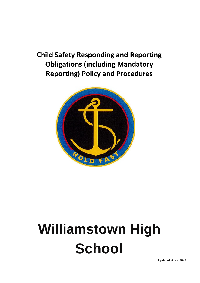# **Child Safety Responding and Reporting Obligations (including Mandatory Reporting) Policy and Procedures**



# **Williamstown High School**

**Updated April 2022**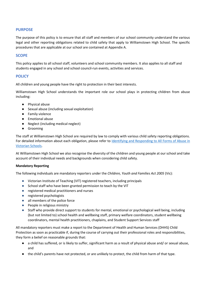# **PURPOSE**

The purpose of this policy is to ensure that all staff and members of our school community understand the various legal and other reporting obligations related to child safety that apply to Williamstown High School. The specific procedures that are applicable at our school are contained at Appendix A.

# **SCOPE**

This policy applies to all school staff, volunteers and school community members. It also applies to all staff and students engaged in any school and school council-run events, activities and services.

# **POLICY**

All children and young people have the right to protection in their best interests.

Williamstown High School understands the important role our school plays in protecting children from abuse including:

- Physical abuse
- Sexual abuse (including sexual exploitation)
- Family violence
- Emotional abuse
- Neglect (including medical neglect)
- Grooming

The staff at Williamstown High School are required by law to comply with various child safety reporting obligations. For detailed information about each obligation, please refer to Identifying and Responding to All Forms of Abuse in [Victorian Schools.](https://www.education.vic.gov.au/Documents/about/programs/health/protect/ChildSafeStandard5_SchoolsGuide.pdf)

At Williamstown High School we also recognise the diversity of the children and young people at our school and take account of their individual needs and backgrounds when considering child safety.

#### **Mandatory Reporting**

The following individuals are mandatory reporters under the *Children, Youth and Families Act 2005* (Vic):

- Victorian Institute of Teaching (VIT) registered teachers, including principals
- School staff who have been granted permission to teach by the VIT
- registered medical practitioners and nurses
- registered psychologists
- all members of the police force
- People in religious ministry
- Staff who provide direct support to students for mental, emotional or psychological well being, including (but not limited to) school health and wellbeing staff, primary welfare coordinators, student wellbeing coordinators, mental health practitioners, chaplains, and Student Support Services staff

All mandatory reporters must make a report to the Department of Health and Human Services (DHHS) Child Protection as soon as practicable if, during the course of carrying out their professional roles and responsibilities, they form a belief on reasonable grounds that:

- a child has suffered, or is likely to suffer, significant harm as a result of physical abuse and/ or sexual abuse, and
- the child's parents have not protected, or are unlikely to protect, the child from harm of that type.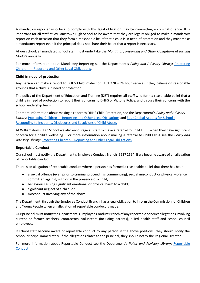A mandatory reporter who fails to comply with this legal obligation may be committing a criminal offence. It is important for all staff at Williamstown High School to be aware that they are legally obliged to make a mandatory report on each occasion that they form a reasonable belief that a child is in need of protection and they must make a mandatory report even if the principal does not share their belief that a report is necessary.

At our school, all mandated school staff must undertake the *Mandatory Reporting and Other Obligations eLearning Module* annually.

For more information about Mandatory Reporting see the Department's *Policy and Advisory Library*: [Protecting](https://www2.education.vic.gov.au/pal/protecting-children/policy)  Children — [Reporting and Other Legal Obligations.](https://www2.education.vic.gov.au/pal/protecting-children/policy)

# **Child in need of protection**

Any person can make a report to DHHS Child Protection (131 278 – 24 hour service) if they believe on reasonable grounds that a child is in need of protection.

The policy of the Department of Education and Training (DET) requires **all staff** who form a reasonable belief that a child is in need of protection to report their concerns to DHHS or Victoria Police, and discuss their concerns with the school leadership team.

For more information about making a report to DHHS Child Protection, see the Department's *Policy and Advisory Library*: Protecting Children — [Reporting and Other Legal Obligations](https://www2.education.vic.gov.au/pal/protecting-children/policy) and [Four Critical Actions for Schools:](https://www.education.vic.gov.au/Documents/about/programs/health/protect/FourCriticalActions_ChildAbuse.pdf)  [Responding to Incidents, Disclosures and Suspicions of Child Abuse.](https://www.education.vic.gov.au/Documents/about/programs/health/protect/FourCriticalActions_ChildAbuse.pdf)

At Williamstown High School we also encourage all staff to make a referral to Child FIRST when they have significant concern for a child's wellbeing. For more information about making a referral to Child FIRST see the *Policy and Advisory Library*: Protecting Children – [Reporting and Other Legal Obligations](https://www2.education.vic.gov.au/pal/protecting-children/policy) .

# **Reportable Conduct**

Our school must notify the Department's Employee Conduct Branch (9637 2594) if we become aware of an allegation of 'reportable conduct'.

There is an allegation of reportable conduct where a person has formed a reasonable belief that there has been:

- a sexual offence (even prior to criminal proceedings commencing), sexual misconduct or physical violence committed against, with or in the presence of a child;
- behaviour causing significant emotional or physical harm to a child;
- significant neglect of a child; or
- misconduct involving any of the above.

The Department, through the Employee Conduct Branch, has a legal obligation to inform the Commission for Children and Young People when an allegation of reportable conduct is made.

Our principal must notify the Department's Employee Conduct Branch of any reportable conduct allegations involving current or former teachers, contractors, volunteers (including parents), allied health staff and school council employees.

If school staff become aware of reportable conduct by any person in the above positions, they should notify the school principal immediately. If the allegation relates to the principal, they should notify the Regional Director.

For more information about Reportable Conduct see the Department's *Policy and Advisory Library*: [Reportable](https://www2.education.vic.gov.au/pal/reportable-conduct-scheme/policy)  [Conduct.](https://www2.education.vic.gov.au/pal/reportable-conduct-scheme/policy)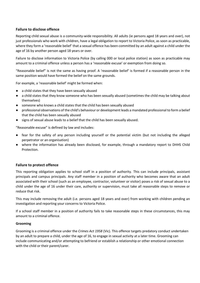# **Failure to disclose offence**

Reporting child sexual abuse is a community-wide responsibility. All adults (ie persons aged 18 years and over), not just professionals who work with children, have a legal obligation to report to Victoria Police, as soon as practicable, where they form a 'reasonable belief' that a sexual offence has been committed by an adult against a child under the age of 16 by another person aged 18 years or over.

Failure to disclose information to Victoria Police (by calling 000 or local police station) as soon as practicable may amount to a criminal offence unless a person has a 'reasonable excuse' or exemption from doing so.

"Reasonable belief" is not the same as having proof. A 'reasonable belief' is formed if a reasonable person in the same position would have formed the belief on the same grounds.

For example, a 'reasonable belief' might be formed when:

- a child states that they have been sexually abused
- a child states that they know someone who has been sexually abused (sometimes the child may be talking about themselves)
- someone who knows a child states that the child has been sexually abused
- professional observations of the child's behaviour or development leads a mandated professional to form a belief that the child has been sexually abused
- signs of sexual abuse leads to a belief that the child has been sexually abused.

"Reasonable excuse" is defined by law and includes:

- fear for the safety of any person including yourself or the potential victim (but not including the alleged perpetrator or an organisation)
- where the information has already been disclosed, for example, through a mandatory report to DHHS Child Protection.

# **Failure to protect offence**

This reporting obligation applies to school staff in a position of authority. This can include principals, assistant principals and campus principals. Any staff member in a position of authority who becomes aware that an adult associated with their school (such as an employee, contractor, volunteer or visitor) poses a risk of sexual abuse to a child under the age of 16 under their care, authority or supervision, must take all reasonable steps to remove or reduce that risk.

This may include removing the adult (i.e. persons aged 18 years and over) from working with children pending an investigation and reporting your concerns to Victoria Police.

If a school staff member in a position of authority fails to take reasonable steps in these circumstances, this may amount to a criminal offence.

#### **Grooming**

Grooming is a criminal offence under the *Crimes Act 1958* (Vic). This offence targets predatory conduct undertaken by an adult to prepare a child, under the age of 16, to engage in sexual activity at a later time. Grooming can include communicating and/or attempting to befriend or establish a relationship or other emotional connection with the child or their parent/carer.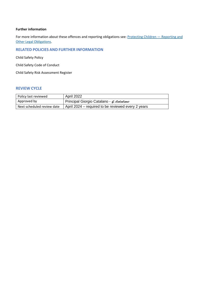# **Further information**

For more information about these offences and reporting obligations see: [Protecting Children](https://www2.education.vic.gov.au/pal/protecting-children/policy) - Reporting and [Other Legal Obligations.](https://www2.education.vic.gov.au/pal/protecting-children/policy)

# **RELATED POLICIES AND FURTHER INFORMATION**

Child Safety Policy

Child Safety Code of Conduct

Child Safety Risk Assessment Register

# **REVIEW CYCLE**

| Policy last reviewed       | <b>April 2022</b>                                  |
|----------------------------|----------------------------------------------------|
| Approved by                | Principal Giorgio Catalano - G. Catalano           |
| Next scheduled review date | April 2024 – required to be reviewed every 2 years |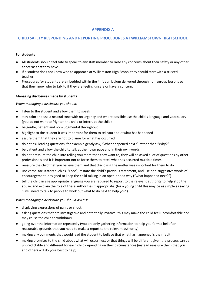# **APPENDIX A**

# **CHILD SAFETY RESPONDING AND REPORTING PROCEDURES AT WILLIAMSTOWN HIGH SCHOOL**

#### **For students**

- All students should feel safe to speak to any staff member to raise any concerns about their safety or any other concerns that they have.
- If a student does not know who to approach at Williamston High School they should start with a trusted teacher.
- Procedures for students are embedded within the 4 r's curriculum delivered through homegroup lessons so that they know who to talk to if they are feeling unsafe or have a concern.

#### **Managing disclosures made by students**

#### *When managing a disclosure you should:*

- listen to the student and allow them to speak
- stay calm and use a neutral tone with no urgency and where possible use the child's language and vocabulary (you do not want to frighten the child or interrupt the child)
- be gentle, patient and non-judgmental throughout
- highlight to the student it was important for them to tell you about what has happened
- assure them that they are not to blame for what has occurred
- do not ask leading questions, for example gently ask, "What happened next?" rather than "Why?"
- be patient and allow the child to talk at their own pace and in their own words
- do not pressure the child into telling you more than they want to, they will be asked a lot of questions by other professionals and it is important not to force them to retell what has occurred multiple times
- reassure the child that you believe them and that disclosing the matter was important for them to do
- use verbal facilitators such as, "I see", restate the child's previous statement, and use non-suggestive words of encouragement, designed to keep the child talking in an open-ended way ("what happened next?")
- tell the child in age appropriate language you are required to report to the relevant authority to help stop the abuse, and explain the role of these authorities if appropriate (for a young child this may be as simple as saying "I will need to talk to people to work out what to do next to help you").

#### *When managing a disclosure you should AVOID:*

- displaying expressions of panic or shock
- asking questions that are investigative and potentially invasive (this may make the child feel uncomfortable and may cause the child to withdraw)
- going over the information repeatedly (you are only gathering information to help you form a belief on reasonable grounds that you need to make a report to the relevant authority)
- making any comments that would lead the student to believe that what has happened is their fault
- making promises to the child about what will occur next or that things will be different given the process can be unpredictable and different for each child depending on their circumstances (instead reassure them that you and others will do your best to help).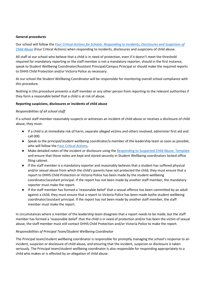#### **General procedures**

Our school will follow the *[Four Critical Actions for Schools: Responding to Incidents, Disclosures and Suspicions of](https://www.education.vic.gov.au/Documents/about/programs/health/protect/FourCriticalActions_ChildAbuse.pdf)  [Child Abuse](https://www.education.vic.gov.au/Documents/about/programs/health/protect/FourCriticalActions_ChildAbuse.pdf)* (Four Critical Actions) when responding to incidents, disclosures and suspicions of child abuse.

All staff at our school who believe that a child is in need of protection, even if it doesn't meet the threshold required for mandatory reporting or the staff member is not a mandatory reporter, should in the first instance, speak to Student Wellbeing Coordinator/Assistant Principal/Campus Principal or should make the required reports to DHHS Child Protection and/or Victoria Police as necessary.

At our school the Student Wellbeing Coordinator will be responsible for monitoring overall school compliance with this procedure.

Nothing in this procedure prevents a staff member or any other person from reporting to the relevant authorities if they form a reasonable belief that a child is at risk of abuse.

#### **Reporting suspicions, disclosures or incidents of child abuse**

#### *Responsibilities of all school staff*

If a school staff member reasonably suspects or witnesses an incident of child abuse or receives a disclosure of child abuse, they must:

- If a child is at immediate risk of harm, separate alleged victims and others involved, administer first aid and call 000.
- Speak to the principal/student wellbeing coordinator/a member of the leadership team as soon as possible, who will follow th[e Four Critical Actions.](https://www.education.vic.gov.au/Documents/about/programs/health/protect/FourCriticalActions_ChildAbuse.pdf)
- Make detailed notes of the incident or disclosure using the [Responding to Suspected Child Abuse: Template](https://www.education.vic.gov.au/Documents/about/programs/health/protect/PROTECT_Schoolstemplate.pdf) and ensure that those notes are kept and stored securely in Student Wellbeing coordinators locked office filing cabinet.
- If the staff member is a mandatory reporter and reasonably believes that a student has suffered physical and/or sexual abuse from which the child's parents have not protected the child, they must ensure that a report to DHHS Child Protection or Victoria Police has been made by the student wellbeing coordinator/assistant principal. If the report has not been made by another staff member, the mandatory reporter must make the report.
- If the staff member has formed a 'reasonable belief' that a sexual offence has been committed by an adult against a child, they must ensure that a report to Victoria Police has been made bythe student wellbeing coordinator/assistant principal. If the report has not been made by another staff member, the staff member must make the report.

In circumstances where a member of the leadership team disagrees that a report needs to be made, but the staff member has formed a 'reasonable belief' that the child is in need of protection and/or has been the victim of sexual abuse, the staff member must still contact DHHS Child Protection and/or Victoria Police to make the report.

# *Responsibilities of Principal Team/Student Wellbeing Coordinator*

The Principal team/student wellbeing coordinator is responsible for promptly managing the school's response to an incident, suspicion or disclosure of child abuse, and ensuring that the incident, suspicion or disclosure is taken seriously. The Principal team/student wellbeing coordinator is also responsible for responding appropriately to a child who makes or is affected by an allegation of child abuse.